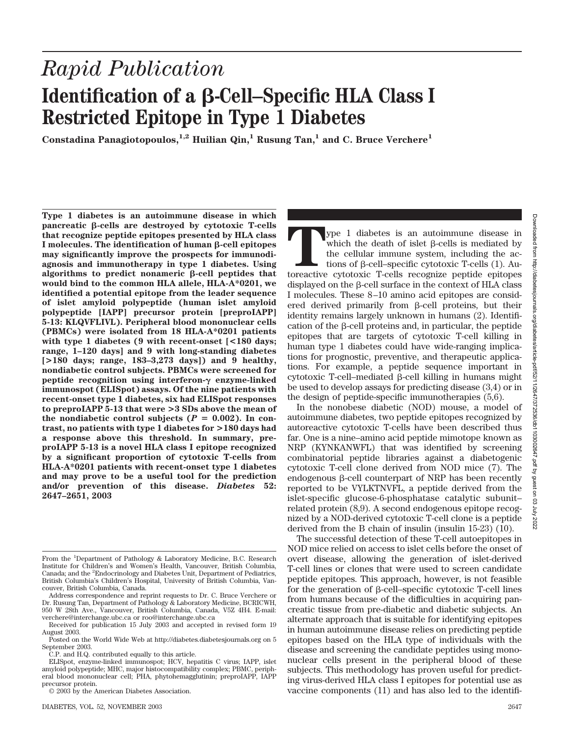# *Rapid Publication* **Identification of a β-Cell–Specific HLA Class I Restricted Epitope in Type 1 Diabetes**

**Constadina Panagiotopoulos,1,2 Huilian Qin,1 Rusung Tan,1 and C. Bruce Verchere1**

**Type 1 diabetes is an autoimmune disease in which** pancreatic  $\beta$ -cells are destroyed by cytotoxic T-cells **that recognize peptide epitopes presented by HLA class** I molecules. The identification of human  $\beta$ -cell epitopes **may significantly improve the prospects for immunodiagnosis and immunotherapy in type 1 diabetes. Using** algorithms to predict nonameric  $\beta$ -cell peptides that **would bind to the common HLA allele, HLA-A\*0201, we identified a potential epitope from the leader sequence of islet amyloid polypeptide (human islet amyloid polypeptide [IAPP] precursor protein [preproIAPP] 5-13: KLQVFLIVL). Peripheral blood mononuclear cells (PBMCs) were isolated from 18 HLA-A\*0201 patients with type 1 diabetes (9 with recent-onset [<180 days; range, 1–120 days] and 9 with long-standing diabetes [>180 days; range, 183–3,273 days]) and 9 healthy, nondiabetic control subjects. PBMCs were screened for peptide recognition using interferon-γ enzyme-linked immunospot (ELISpot) assays. Of the nine patients with recent-onset type 1 diabetes, six had ELISpot responses to preproIAPP 5-13 that were >3 SDs above the mean of** the nondiabetic control subjects  $(P = 0.002)$ . In con**trast, no patients with type 1 diabetes for >180 days had a response above this threshold. In summary, preproIAPP 5-13 is a novel HLA class I epitope recognized by a significant proportion of cytotoxic T-cells from HLA-A\*0201 patients with recent-onset type 1 diabetes and may prove to be a useful tool for the prediction and/or prevention of this disease.** *Diabetes* **52: 2647–2651, 2003**

**The Transfer of the death of islet β-cells is mediated by** the cellular immune system, including the actions of β-cell–specific cytotoxic T-cells (1). Autoreactive cytotoxic T-cells recognize peptide epitopes which the death of islet  $\beta$ -cells is mediated by the cellular immune system, including the actions of  $\beta$ -cell–specific cytotoxic T-cells  $(1)$ . Audisplayed on the  $\beta$ -cell surface in the context of HLA class I molecules. These 8–10 amino acid epitopes are considered derived primarily from  $\beta$ -cell proteins, but their identity remains largely unknown in humans (2). Identification of the  $\beta$ -cell proteins and, in particular, the peptide epitopes that are targets of cytotoxic T-cell killing in human type 1 diabetes could have wide-ranging implications for prognostic, preventive, and therapeutic applications. For example, a peptide sequence important in cytotoxic T-cell–mediated  $\beta$ -cell killing in humans might be used to develop assays for predicting disease (3,4) or in the design of peptide-specific immunotherapies (5,6).

In the nonobese diabetic (NOD) mouse, a model of autoimmune diabetes, two peptide epitopes recognized by autoreactive cytotoxic T-cells have been described thus far. One is a nine–amino acid peptide mimotope known as NRP (KYNKANWFL) that was identified by screening combinatorial peptide libraries against a diabetogenic cytotoxic T-cell clone derived from NOD mice (7). The endogenous  $\beta$ -cell counterpart of NRP has been recently reported to be VYLKTNVFL, a peptide derived from the islet-specific glucose-6-phosphatase catalytic subunit– related protein (8,9). A second endogenous epitope recognized by a NOD-derived cytotoxic T-cell clone is a peptide derived from the B chain of insulin (insulin 15-23) (10).

The successful detection of these T-cell autoepitopes in NOD mice relied on access to islet cells before the onset of overt disease, allowing the generation of islet-derived T-cell lines or clones that were used to screen candidate peptide epitopes. This approach, however, is not feasible for the generation of  $\beta$ -cell–specific cytotoxic T-cell lines from humans because of the difficulties in acquiring pancreatic tissue from pre-diabetic and diabetic subjects. An alternate approach that is suitable for identifying epitopes in human autoimmune disease relies on predicting peptide epitopes based on the HLA type of individuals with the disease and screening the candidate peptides using mononuclear cells present in the peripheral blood of these subjects. This methodology has proven useful for predicting virus-derived HLA class I epitopes for potential use as vaccine components (11) and has also led to the identifi-

From the <sup>1</sup>Department of Pathology & Laboratory Medicine, B.C. Research Institute for Children's and Women's Health, Vancouver, British Columbia, Canada; and the <sup>2</sup>Endocrinology and Diabetes Unit, Department of Pediatrics, British Columbia's Children's Hospital, University of British Columbia, Vancouver, British Columbia, Canada.

Address correspondence and reprint requests to Dr. C. Bruce Verchere or Dr. Rusung Tan, Department of Pathology & Laboratory Medicine, BCRICWH, 950 W 28th Ave., Vancouver, British Columbia, Canada, V5Z 4H4. E-mail: verchere@interchange.ubc.ca or roo@interchange.ubc.ca

Received for publication 15 July 2003 and accepted in revised form 19 August 2003.

Posted on the World Wide Web at http://diabetes.diabetesjournals.org on 5 September 2003.

C.P. and H.Q. contributed equally to this article.

ELISpot, enzyme-linked immunospot; HCV, hepatitis C virus; IAPP, islet amyloid polypeptide; MHC, major histocompatibility complex; PBMC, peripheral blood mononuclear cell; PHA, phytohemagglutinin; preproIAPP, IAPP precursor protein.

<sup>© 2003</sup> by the American Diabetes Association.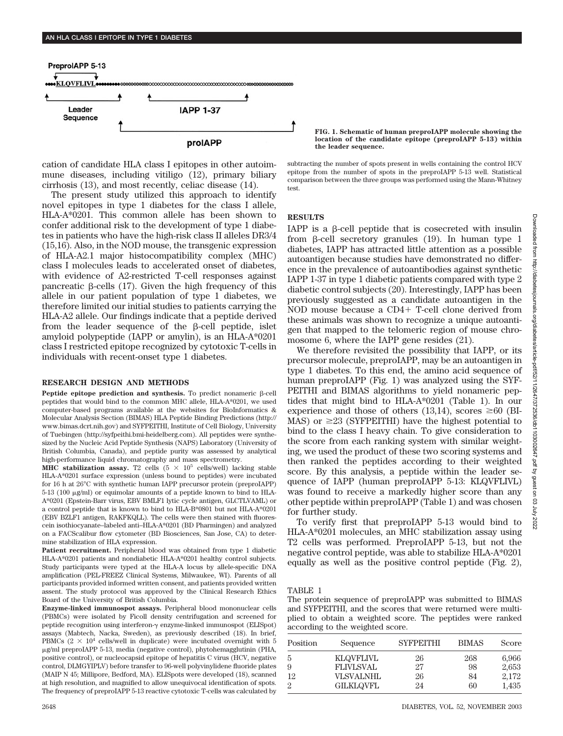

cation of candidate HLA class I epitopes in other autoimmune diseases, including vitiligo (12), primary biliary cirrhosis (13), and most recently, celiac disease (14).

The present study utilized this approach to identify novel epitopes in type 1 diabetes for the class I allele, HLA-A\*0201. This common allele has been shown to confer additional risk to the development of type 1 diabetes in patients who have the high-risk class II alleles DR3/4 (15,16). Also, in the NOD mouse, the transgenic expression of HLA-A2.1 major histocompatibility complex (MHC) class I molecules leads to accelerated onset of diabetes, with evidence of A2-restricted T-cell responses against pancreatic  $\beta$ -cells (17). Given the high frequency of this allele in our patient population of type 1 diabetes, we therefore limited our initial studies to patients carrying the HLA-A2 allele. Our findings indicate that a peptide derived from the leader sequence of the  $\beta$ -cell peptide, islet amyloid polypeptide (IAPP or amylin), is an HLA-A\*0201 class I restricted epitope recognized by cytotoxic T-cells in individuals with recent-onset type 1 diabetes.

## **RESEARCH DESIGN AND METHODS**

Peptide epitope prediction and synthesis. To predict nonameric  $\beta$ -cell peptides that would bind to the common MHC allele, HLA-A\*0201, we used computer-based programs available at the websites for BioInformatics & Molecular Analysis Section (BIMAS) HLA Peptide Binding Predictions (http:// www.bimas.dcrt.nih.gov) and SYFPEITHI, Institute of Cell Biology, University of Tuebingen (http://syfpeithi.bmi-heidelberg.com). All peptides were synthesized by the Nucleic Acid Peptide Synthesis (NAPS) Laboratory (University of British Columbia, Canada), and peptide purity was assessed by analytical high-performance liquid chromatography and mass spectrometry.

**MHC stabilization assay.** T2 cells  $(5 \times 10^5 \text{ cells/well})$  lacking stable HLA-A\*0201 surface expression (unless bound to peptides) were incubated for 16 h at 26°C with synthetic human IAPP precursor protein (preproIAPP)  $5-13$  (100  $\mu$ g/ml) or equimolar amounts of a peptide known to bind to HLA-A\*0201 (Epstein-Barr virus, EBV BMLF1 lytic cycle antigen, GLCTLVAML) or a control peptide that is known to bind to HLA-B\*0801 but not HLA-A\*0201 (EBV BZLF1 antigen, RAKFKQLL). The cells were then stained with fluorescein isothiocyanate–labeled anti–HLA-A\*0201 (BD Pharmingen) and analyzed on a FACScalibur flow cytometer (BD Biosciences, San Jose, CA) to determine stabilization of HLA expression.

**Patient recruitment.** Peripheral blood was obtained from type 1 diabetic HLA-A\*0201 patients and nondiabetic HLA-A\*0201 healthy control subjects. Study participants were typed at the HLA-A locus by allele-specific DNA amplification (PEL-FREEZ Clinical Systems, Milwaukee, WI). Parents of all participants provided informed written consent, and patients provided written assent. The study protocol was approved by the Clinical Research Ethics Board of the University of British Columbia.

**Enzyme-linked immunospot assays.** Peripheral blood mononuclear cells (PBMCs) were isolated by Ficoll density centrifugation and screened for peptide recognition using interferon- $\gamma$  enzyme-linked immunospot (ELISpot) assays (Mabtech, Nacka, Sweden), as previously described (18). In brief, PBMCs  $(2 \times 10^4 \text{ cells/well in duplicate})$  were incubated overnight with 5 g/ml preproIAPP 5-13, media (negative control), phytohemagglutinin (PHA, positive control), or nucleocapsid epitope of hepatitis C virus (HCV, negative control, DLMGYIPLV) before transfer to 96-well polyvinylidene fluoride plates (MAIP N 45; Millipore, Bedford, MA). ELISpots were developed (18), scanned at high resolution, and magnified to allow unequivocal identification of spots. The frequency of preproIAPP 5-13 reactive cytotoxic T-cells was calculated by **FIG. 1. Schematic of human preproIAPP molecule showing the location of the candidate epitope (preproIAPP 5-13) within the leader sequence.**

subtracting the number of spots present in wells containing the control HCV epitope from the number of spots in the preproIAPP 5-13 well. Statistical comparison between the three groups was performed using the Mann-Whitney test.

# **RESULTS**

IAPP is a  $\beta$ -cell peptide that is cosecreted with insulin from  $\beta$ -cell secretory granules (19). In human type 1 diabetes, IAPP has attracted little attention as a possible autoantigen because studies have demonstrated no difference in the prevalence of autoantibodies against synthetic IAPP 1-37 in type 1 diabetic patients compared with type 2 diabetic control subjects (20). Interestingly, IAPP has been previously suggested as a candidate autoantigen in the NOD mouse because a CD4+ T-cell clone derived from these animals was shown to recognize a unique autoantigen that mapped to the telomeric region of mouse chromosome 6, where the IAPP gene resides (21).

We therefore revisited the possibility that IAPP, or its precursor molecule, preproIAPP, may be an autoantigen in type 1 diabetes. To this end, the amino acid sequence of human preproIAPP (Fig. 1) was analyzed using the SYF-PEITHI and BIMAS algorithms to yield nonameric peptides that might bind to HLA-A\*0201 (Table 1). In our experience and those of others (13,14), scores  $\geq 60$  (BI-MAS) or  $\geq$ 23 (SYFPEITHI) have the highest potential to bind to the class I heavy chain. To give consideration to the score from each ranking system with similar weighting, we used the product of these two scoring systems and then ranked the peptides according to their weighted score. By this analysis, a peptide within the leader sequence of IAPP (human preproIAPP 5-13: KLQVFLIVL) was found to receive a markedly higher score than any other peptide within preproIAPP (Table 1) and was chosen for further study.

To verify first that preproIAPP 5-13 would bind to HLA-A\*0201 molecules, an MHC stabilization assay using T2 cells was performed. PreproIAPP 5-13, but not the negative control peptide, was able to stabilize HLA-A\*0201 equally as well as the positive control peptide (Fig. 2),

#### TABLE 1

The protein sequence of preproIAPP was submitted to BIMAS and SYFPEITHI, and the scores that were returned were multiplied to obtain a weighted score. The peptides were ranked according to the weighted score.

| Position | Sequence         | <b>SYFPEITHI</b> | <b>BIMAS</b> | Score |
|----------|------------------|------------------|--------------|-------|
| 5        | <b>KLOVFLIVL</b> | 26               | 268          | 6,966 |
| 9        | <b>FLIVLSVAL</b> | 27               | 98           | 2,653 |
| 12       | VLSVALNHL        | 26               | 84           | 2,172 |
| 2        | <b>GILKLOVFL</b> | 24               | 60           | 1,435 |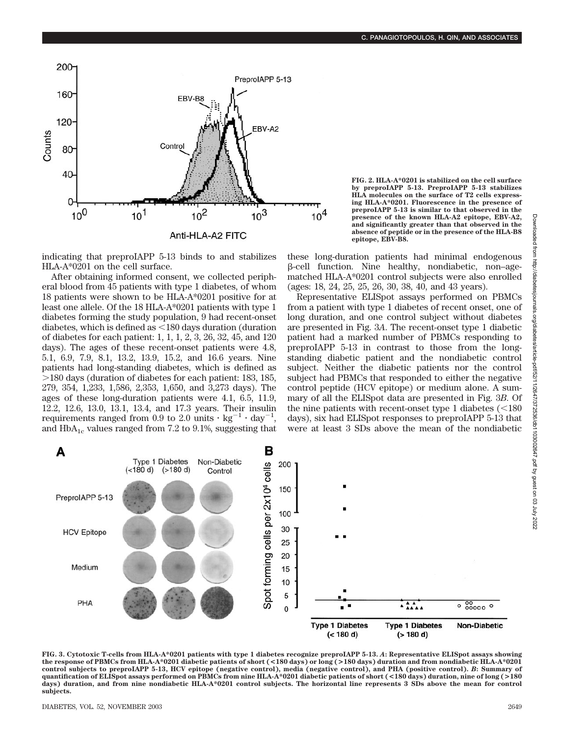

indicating that preproIAPP 5-13 binds to and stabilizes HLA-A\*0201 on the cell surface.

After obtaining informed consent, we collected peripheral blood from 45 patients with type 1 diabetes, of whom 18 patients were shown to be HLA-A\*0201 positive for at least one allele. Of the 18 HLA-A\*0201 patients with type 1 diabetes forming the study population, 9 had recent-onset diabetes, which is defined as  $\leq$  180 days duration (duration of diabetes for each patient: 1, 1, 1, 2, 3, 26, 32, 45, and 120 days). The ages of these recent-onset patients were 4.8, 5.1, 6.9, 7.9, 8.1, 13.2, 13.9, 15.2, and 16.6 years. Nine patients had long-standing diabetes, which is defined as 180 days (duration of diabetes for each patient: 183, 185, 279, 354, 1,233, 1,586, 2,353, 1,650, and 3,273 days). The ages of these long-duration patients were 4.1, 6.5, 11.9, 12.2, 12.6, 13.0, 13.1, 13.4, and 17.3 years. Their insulin requirements ranged from 0.9 to 2.0 units  $\cdot$  kg<sup>-1</sup>  $\cdot$  day<sup>-1</sup>, and  $HbA_{1c}$  values ranged from 7.2 to 9.1%, suggesting that **FIG. 2. HLA-A\*0201 is stabilized on the cell surface by preproIAPP 5-13. PreproIAPP 5-13 stabilizes HLA molecules on the surface of T2 cells expressing HLA-A\*0201. Fluorescence in the presence of preproIAPP 5-13 is similar to that observed in the presence of the known HLA-A2 epitope, EBV-A2, and significantly greater than that observed in the absence of peptide or in the presence of the HLA-B8 epitope, EBV-B8.**

these long-duration patients had minimal endogenous  $\beta$ -cell function. Nine healthy, nondiabetic, non-agematched HLA-A\*0201 control subjects were also enrolled (ages: 18, 24, 25, 25, 26, 30, 38, 40, and 43 years).

Representative ELISpot assays performed on PBMCs from a patient with type 1 diabetes of recent onset, one of long duration, and one control subject without diabetes are presented in Fig. 3*A*. The recent-onset type 1 diabetic patient had a marked number of PBMCs responding to preproIAPP 5-13 in contrast to those from the longstanding diabetic patient and the nondiabetic control subject. Neither the diabetic patients nor the control subject had PBMCs that responded to either the negative control peptide (HCV epitope) or medium alone. A summary of all the ELISpot data are presented in Fig. 3*B*. Of the nine patients with recent-onset type 1 diabetes  $\leq 180$ days), six had ELISpot responses to preproIAPP 5-13 that were at least 3 SDs above the mean of the nondiabetic



**FIG. 3. Cytotoxic T-cells from HLA-A\*0201 patients with type 1 diabetes recognize preproIAPP 5-13.** *A***: Representative ELISpot assays showing the response of PBMCs from HLA-A\*0201 diabetic patients of short (<180 days) or long (>180 days) duration and from nondiabetic HLA-A\*0201 control subjects to preproIAPP 5-13, HCV epitope (negative control), media (negative control), and PHA (positive control).** *B***: Summary of quantification of ELISpot assays performed on PBMCs from nine HLA-A\*0201 diabetic patients of short (<180 days) duration, nine of long (>180 days) duration, and from nine nondiabetic HLA-A\*0201 control subjects. The horizontal line represents 3 SDs above the mean for control subjects.**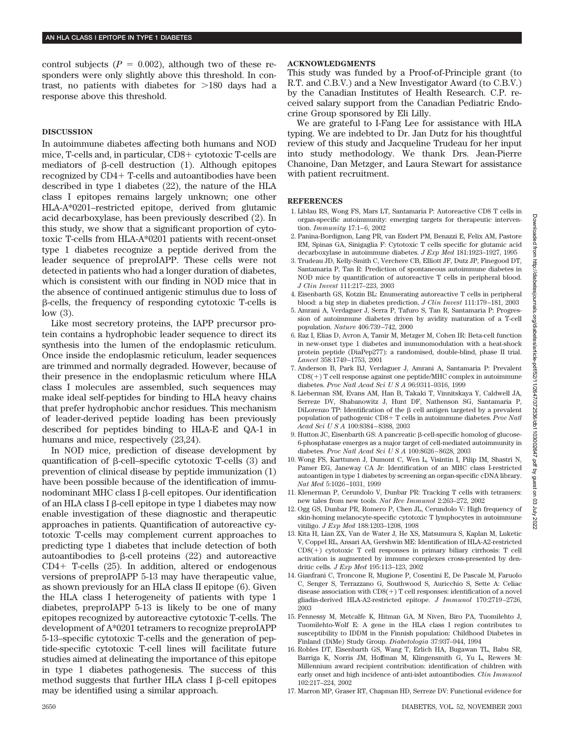control subjects  $(P = 0.002)$ , although two of these responders were only slightly above this threshold. In contrast, no patients with diabetes for  $>180$  days had a response above this threshold.

## **DISCUSSION**

In autoimmune diabetes affecting both humans and NOD mice, T-cells and, in particular, CD8+ cytotoxic T-cells are mediators of  $\beta$ -cell destruction (1). Although epitopes recognized by CD4 T-cells and autoantibodies have been described in type 1 diabetes (22), the nature of the HLA class I epitopes remains largely unknown; one other HLA-A\*0201–restricted epitope, derived from glutamic acid decarboxylase, has been previously described (2). In this study, we show that a significant proportion of cytotoxic T-cells from HLA-A\*0201 patients with recent-onset type 1 diabetes recognize a peptide derived from the leader sequence of preproIAPP. These cells were not detected in patients who had a longer duration of diabetes, which is consistent with our finding in NOD mice that in the absence of continued antigenic stimulus due to loss of -cells, the frequency of responding cytotoxic T-cells is low (3).

Like most secretory proteins, the IAPP precursor protein contains a hydrophobic leader sequence to direct its synthesis into the lumen of the endoplasmic reticulum. Once inside the endoplasmic reticulum, leader sequences are trimmed and normally degraded. However, because of their presence in the endoplasmic reticulum where HLA class I molecules are assembled, such sequences may make ideal self-peptides for binding to HLA heavy chains that prefer hydrophobic anchor residues. This mechanism of leader-derived peptide loading has been previously described for peptides binding to HLA-E and QA-1 in humans and mice, respectively (23,24).

In NOD mice, prediction of disease development by quantification of  $\beta$ -cell–specific cytotoxic T-cells  $(3)$  and prevention of clinical disease by peptide immunization (1) have been possible because of the identification of immunodominant MHC class I  $\beta$ -cell epitopes. Our identification of an HLA class I  $\beta$ -cell epitope in type 1 diabetes may now enable investigation of these diagnostic and therapeutic approaches in patients. Quantification of autoreactive cytotoxic T-cells may complement current approaches to predicting type 1 diabetes that include detection of both autoantibodies to  $\beta$ -cell proteins (22) and autoreactive  $CD4+$  T-cells  $(25)$ . In addition, altered or endogenous versions of preproIAPP 5-13 may have therapeutic value, as shown previously for an HLA class II epitope (6). Given the HLA class I heterogeneity of patients with type 1 diabetes, preproIAPP 5-13 is likely to be one of many epitopes recognized by autoreactive cytotoxic T-cells. The development of A\*0201 tetramers to recognize preproIAPP 5-13–specific cytotoxic T-cells and the generation of peptide-specific cytotoxic T-cell lines will facilitate future studies aimed at delineating the importance of this epitope in type 1 diabetes pathogenesis. The success of this method suggests that further HLA class I  $\beta$ -cell epitopes may be identified using a similar approach.

## **ACKNOWLEDGMENTS**

This study was funded by a Proof-of-Principle grant (to R.T. and C.B.V.) and a New Investigator Award (to C.B.V.) by the Canadian Institutes of Health Research. C.P. received salary support from the Canadian Pediatric Endocrine Group sponsored by Eli Lilly.

We are grateful to I-Fang Lee for assistance with HLA typing. We are indebted to Dr. Jan Dutz for his thoughtful review of this study and Jacqueline Trudeau for her input into study methodology. We thank Drs. Jean-Pierre Chanoine, Dan Metzger, and Laura Stewart for assistance with patient recruitment.

#### **REFERENCES**

- 1. Liblau RS, Wong FS, Mars LT, Santamaria P: Autoreactive CD8 T cells in organ-specific autoimmunity: emerging targets for therapeutic intervention. *Immunity* 17:1–6, 2002
- 2. Panina-Bordignon, Lang PR, van Endert PM, Benazzi E, Felix AM, Pastore RM, Spinas GA, Sinigaglia F: Cytotoxic T cells specific for glutamic acid decarboxylase in autoimmune diabetes. *J Exp Med* 181:1923–1927, 1995
- 3. Trudeau JD, Kelly-Smith C, Verchere CB, Elliott JF, Dutz JP, Finegood DT, Santamaria P, Tan R: Prediction of spontaneous autoimmune diabetes in NOD mice by quantification of autoreactive T cells in peripheral blood. *J Clin Invest* 111:217–223, 2003
- 4. Eisenbarth GS, Kotzin BL: Enumerating autoreactive T cells in peripheral blood: a big step in diabetes prediction. *J Clin Invest* 111:179–181, 2003
- 5. Amrani A, Verdaguer J, Serra P, Tafuro S, Tan R, Santamaria P: Progression of autoimmune diabetes driven by avidity maturation of a T-cell population. *Nature* 406:739–742, 2000
- 6. Raz I, Elias D, Avron A, Tamir M, Metzger M, Cohen IR: Beta-cell function in new-onset type 1 diabetes and immunomodulation with a heat-shock protein peptide (DiaPep277): a randomised, double-blind, phase II trial. *Lancet* 358:1749–1753, 2001
- 7. Anderson B, Park BJ, Verdaguer J, Amrani A, Santamaria P: Prevalent  $CDS(+)$  T cell response against one peptide/MHC complex in autoimmune diabetes. *Proc Natl Acad SciUSA* 96:9311–9316, 1999
- 8. Lieberman SM, Evans AM, Han B, Takaki T, Vinnitskaya Y, Caldwell JA, Serreze DV, Shabanowitz J, Hunt DF, Nathenson SG, Santamaria P, DiLorenzo TP: Identification of the  $\beta$  cell antigen targeted by a prevalent population of pathogenic CD8+ T cells in autoimmune diabetes. *Proc Natl Acad SciUSA* 100:8384–8388, 2003
- 9. Hutton JC, Eisenbarth GS: A pancreatic β-cell-specific homolog of glucose-6-phosphatase emerges as a major target of cell-mediated autoimmunity in diabetes. *Proc Natl Acad SciUSA* 100:8626–8628, 2003
- 10. Wong FS, Karttunen J, Dumont C, Wen L, Visintin I, Pilip IM, Shastri N, Pamer EG, Janeway CA Jr: Identification of an MHC class I-restricted autoantigen in type 1 diabetes by screening an organ-specific cDNA library. *Nat Med* 5:1026–1031, 1999
- 11. Klenerman P, Cerundolo V, Dunbar PR: Tracking T cells with tetramers: new tales from new tools. *Nat Rev Immunol* 2:263–272, 2002
- 12. Ogg GS, Dunbar PR, Romero P, Chen JL, Cerundolo V: High frequency of skin-homing melanocyte-specific cytotoxic T lymphocytes in autoimmune vitiligo. *J Exp Med* 188:1203–1208, 1998
- 13. Kita H, Lian ZX, Van de Water J, He XS, Matsumura S, Kaplan M, Luketic V, Coppel RL, Ansari AA, Gershwin ME: Identification of HLA-A2-restricted  $CDS(+)$  cytotoxic T cell responses in primary biliary cirrhosis: T cell activation is augmented by immune complexes cross-presented by dendritic cells. *J Exp Med* 195:113–123, 2002
- 14. Gianfrani C, Troncone R, Mugione P, Cosentini E, De Pascale M, Faruolo C, Senger S, Terrazzano G, Southwood S, Auricchio S, Sette A: Celiac disease association with  $CD8(+)$  T cell responses: identification of a novel gliadin-derived HLA-A2-restricted epitope. *J Immunol* 170:2719–2726, 2003
- 15. Fennessy M, Metcalfe K, Hitman GA, M Niven, Biro PA, Tuomilehto J, Tuomilehto-Wolf E: A gene in the HLA class I region contributes to susceptibility to IDDM in the Finnish population: Childhood Diabetes in Finland (DiMe) Study Group. *Diabetologia* 37:937–944, 1994
- 16. Robles DT, Eisenbarth GS, Wang T, Erlich HA, Bugawan TL, Babu SR, Barriga K, Norris JM, Hoffman M, Klingensmith G, Yu L, Rewers M: Millennium award recipient contribution: identification of children with early onset and high incidence of anti-islet autoantibodies. *Clin Immunol* 102:217–224, 2002
- 17. Marron MP, Graser RT, Chapman HD, Serreze DV: Functional evidence for